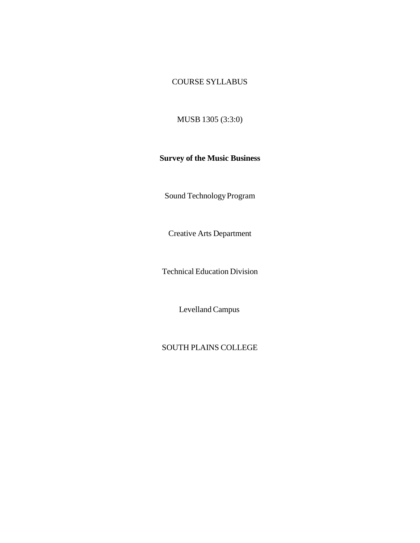# COURSE SYLLABUS

MUSB 1305 (3:3:0)

#### **Survey of the Music Business**

Sound Technology Program

Creative Arts Department

Technical Education Division

Levelland Campus

# SOUTH PLAINS COLLEGE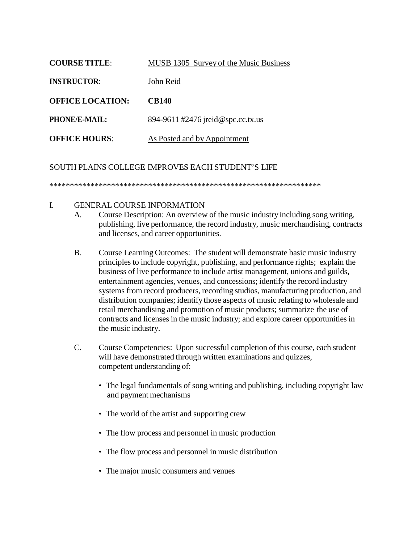| <b>COURSE TITLE:</b>    | MUSB 1305 Survey of the Music Business |  |
|-------------------------|----------------------------------------|--|
| <b>INSTRUCTOR:</b>      | John Reid                              |  |
| <b>OFFICE LOCATION:</b> | <b>CB140</b>                           |  |
| PHONE/E-MAIL:           | 894-9611 #2476 jreid@spc.cc.tx.us      |  |
| <b>OFFICE HOURS:</b>    | As Posted and by Appointment           |  |

SOUTH PLAINS COLLEGE IMPROVES EACH STUDENT'S LIFE

\*\*\*\*\*\*\*\*\*\*\*\*\*\*\*\*\*\*\*\*\*\*\*\*\*\*\*\*\*\*\*\*\*\*\*\*\*\*\*\*\*\*\*\*\*\*\*\*\*\*\*\*\*\*\*\*\*\*\*\*\*\*\*\*\*\*

- I. GENERAL COURSE INFORMATION
	- A. Course Description: An overview of the music industry including song writing, publishing, live performance, the record industry, music merchandising, contracts and licenses, and career opportunities.
	- B. Course Learning Outcomes: The student will demonstrate basic music industry principles to include copyright, publishing, and performance rights; explain the business of live performance to include artist management, unions and guilds, entertainment agencies, venues, and concessions; identify the record industry systems from record producers, recording studios, manufacturing production, and distribution companies; identify those aspects of music relating to wholesale and retail merchandising and promotion of music products; summarize the use of contracts and licenses in the music industry; and explore career opportunities in the music industry.
	- C. Course Competencies: Upon successful completion of this course, each student will have demonstrated through written examinations and quizzes, competent understanding of:
		- The legal fundamentals of song writing and publishing, including copyright law and payment mechanisms
		- The world of the artist and supporting crew
		- The flow process and personnel in music production
		- The flow process and personnel in music distribution
		- The major music consumers and venues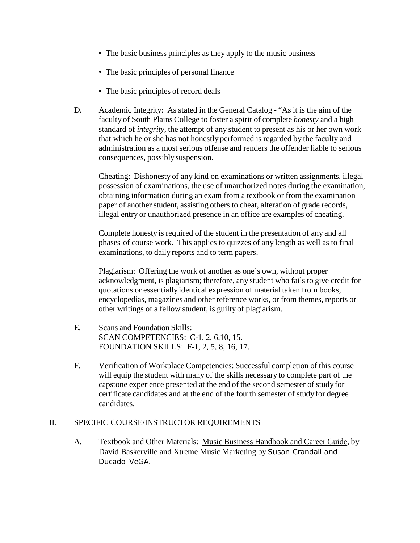- The basic business principles as they apply to the music business
- The basic principles of personal finance
- The basic principles of record deals
- D. Academic Integrity: As stated in the General Catalog "As it is the aim of the faculty of South Plains College to foster a spirit of complete *honesty* and a high standard of *integrity*, the attempt of any student to present as his or her own work that which he or she has not honestly performed is regarded by the faculty and administration as a most serious offense and renders the offender liable to serious consequences, possiblysuspension.

Cheating: Dishonesty of any kind on examinations or written assignments, illegal possession of examinations, the use of unauthorized notes during the examination, obtaining information during an exam from a textbook or from the examination paper of another student, assisting others to cheat, alteration of grade records, illegal entry or unauthorized presence in an office are examples of cheating.

Complete honesty is required of the student in the presentation of any and all phases of course work. This applies to quizzes of any length as well as to final examinations, to daily reports and to term papers.

Plagiarism: Offering the work of another as one's own, without proper acknowledgment, is plagiarism; therefore, any student who fails to give credit for quotations or essentially identical expression of material taken from books, encyclopedias, magazines and other reference works, or from themes, reports or other writings of a fellow student, is guilty of plagiarism.

- E. Scans and Foundation Skills: SCAN COMPETENCIES: C-1, 2, 6,10, 15. FOUNDATION SKILLS: F-1, 2, 5, 8, 16, 17.
- F. Verification of Workplace Competencies: Successful completion of this course will equip the student with many of the skills necessary to complete part of the capstone experience presented at the end of the second semester of study for certificate candidates and at the end of the fourth semester of study for degree candidates.

## II. SPECIFIC COURSE/INSTRUCTOR REQUIREMENTS

A. Textbook and Other Materials: Music Business Handbook and Career Guide, by David Baskerville and Xtreme Music Marketing by Susan Crandall and Ducado VeGA.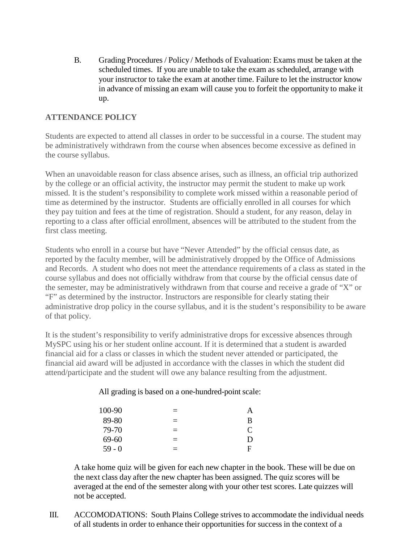B. Grading Procedures / Policy / Methods of Evaluation: Exams must be taken at the scheduled times. If you are unable to take the exam as scheduled, arrange with your instructor to take the exam at another time. Failure to let the instructor know in advance of missing an exam will cause you to forfeit the opportunity to make it up.

### **ATTENDANCE POLICY**

Students are expected to attend all classes in order to be successful in a course. The student may be administratively withdrawn from the course when absences become excessive as defined in the course syllabus.

When an unavoidable reason for class absence arises, such as illness, an official trip authorized by the college or an official activity, the instructor may permit the student to make up work missed. It is the student's responsibility to complete work missed within a reasonable period of time as determined by the instructor. Students are officially enrolled in all courses for which they pay tuition and fees at the time of registration. Should a student, for any reason, delay in reporting to a class after official enrollment, absences will be attributed to the student from the first class meeting.

Students who enroll in a course but have "Never Attended" by the official census date, as reported by the faculty member, will be administratively dropped by the Office of Admissions and Records. A student who does not meet the attendance requirements of a class as stated in the course syllabus and does not officially withdraw from that course by the official census date of the semester, may be administratively withdrawn from that course and receive a grade of "X" or "F" as determined by the instructor. Instructors are responsible for clearly stating their administrative drop policy in the course syllabus, and it is the student's responsibility to be aware of that policy.

It is the student's responsibility to verify administrative drops for excessive absences through MySPC using his or her student online account. If it is determined that a student is awarded financial aid for a class or classes in which the student never attended or participated, the financial aid award will be adjusted in accordance with the classes in which the student did attend/participate and the student will owe any balance resulting from the adjustment.

#### All grading is based on a one-hundred-point scale:

| 100-90   | $=$      | $\overline{\mathsf{A}}$ |
|----------|----------|-------------------------|
| 89-80    | $=$      | B                       |
| 79-70    | $\equiv$ | $\mathbf{\Gamma}$       |
| 69-60    | $=$      | Ð                       |
| $59 - 0$ | $=$      | Ħ                       |

A take home quiz will be given for each new chapter in the book. These will be due on the next class day after the new chapter has been assigned. The quiz scores will be averaged at the end of the semester along with your other test scores. Late quizzes will not be accepted.

III. ACCOMODATIONS: South Plains College strives to accommodate the individual needs of all students in order to enhance their opportunities for success in the context of a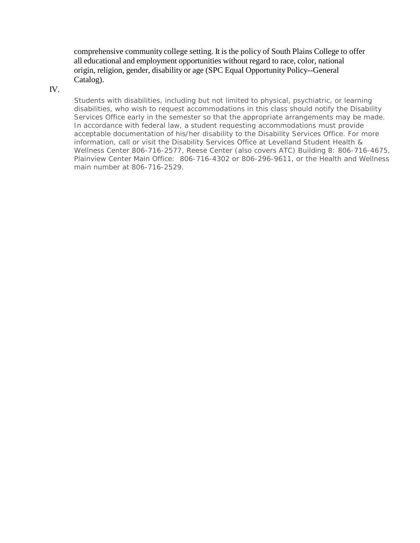comprehensive community college setting. It is the policy of South Plains College to offer all educational and employment opportunities without regard to race, color, national origin, religion, gender, disability or age (SPC Equal Opportunity Policy--General Catalog).

#### IV.

Students with disabilities, including but not limited to physical, psychiatric, or learning disabilities, who wish to request accommodations in this class should notify the Disability Services Office early in the semester so that the appropriate arrangements may be made. In accordance with federal law, a student requesting accommodations must provide acceptable documentation of his/her disability to the Disability Services Office. For more information, call or visit the Disability Services Office at Levelland Student Health & Wellness Center 806-716-2577, Reese Center (also covers ATC) Building 8: 806-716-4675, Plainview Center Main Office: 806-716-4302 or 806-296-9611, or the Health and Wellness main number at 806-716-2529.